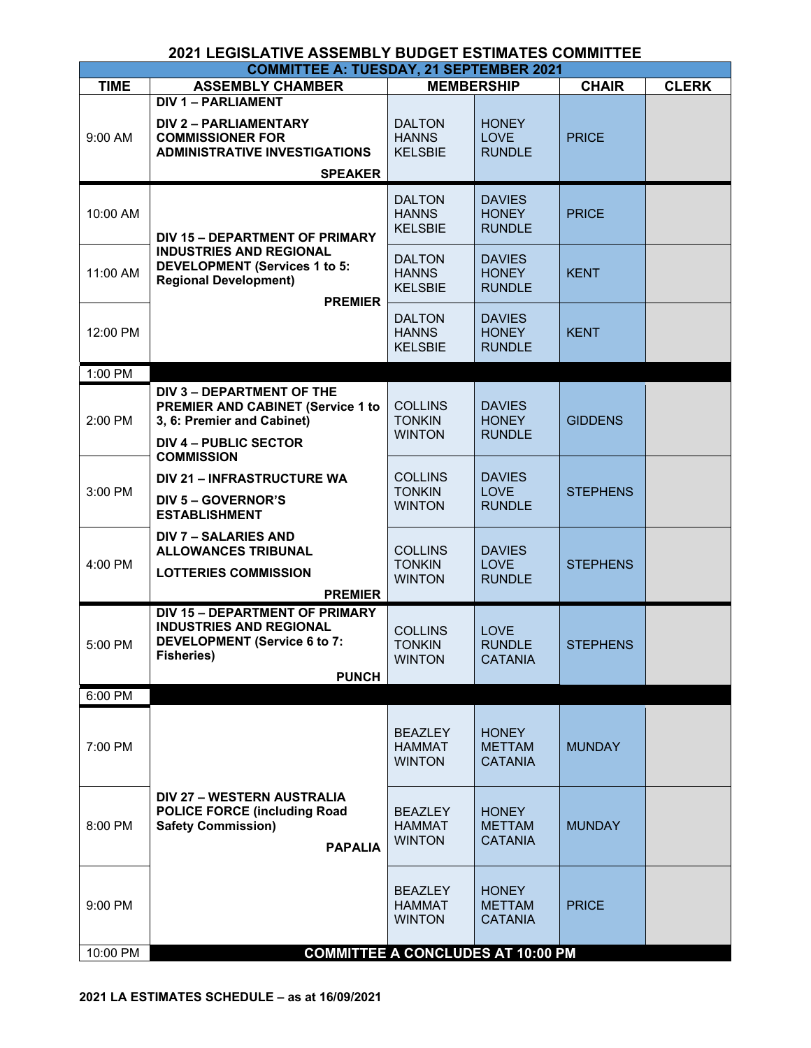| <b>2021 LEGISLATIVE ASSEMBLY BUDGET ESTIMATES COMMITTEE</b> |                                                                                                                                                          |                                                  |                                                 |                 |              |  |  |
|-------------------------------------------------------------|----------------------------------------------------------------------------------------------------------------------------------------------------------|--------------------------------------------------|-------------------------------------------------|-----------------|--------------|--|--|
|                                                             | <b>COMMITTEE A: TUESDAY, 21 SEPTEMBER 2021</b>                                                                                                           |                                                  |                                                 |                 |              |  |  |
| <b>TIME</b>                                                 | <b>ASSEMBLY CHAMBER</b>                                                                                                                                  |                                                  | <b>MEMBERSHIP</b>                               | <b>CHAIR</b>    | <b>CLERK</b> |  |  |
| 9:00 AM                                                     | <b>DIV 1 - PARLIAMENT</b><br><b>DIV 2 - PARLIAMENTARY</b><br><b>COMMISSIONER FOR</b><br><b>ADMINISTRATIVE INVESTIGATIONS</b><br><b>SPEAKER</b>           | <b>DALTON</b><br><b>HANNS</b><br><b>KELSBIE</b>  | <b>HONEY</b><br><b>LOVE</b><br><b>RUNDLE</b>    | <b>PRICE</b>    |              |  |  |
| 10:00 AM                                                    | <b>DIV 15 - DEPARTMENT OF PRIMARY</b>                                                                                                                    | <b>DALTON</b><br><b>HANNS</b><br><b>KELSBIE</b>  | <b>DAVIES</b><br><b>HONEY</b><br><b>RUNDLE</b>  | <b>PRICE</b>    |              |  |  |
| 11:00 AM                                                    | <b>INDUSTRIES AND REGIONAL</b><br><b>DEVELOPMENT (Services 1 to 5:</b><br><b>Regional Development)</b><br><b>PREMIER</b>                                 | <b>DALTON</b><br><b>HANNS</b><br><b>KELSBIE</b>  | <b>DAVIES</b><br><b>HONEY</b><br><b>RUNDLE</b>  | <b>KENT</b>     |              |  |  |
| 12:00 PM                                                    |                                                                                                                                                          | <b>DALTON</b><br><b>HANNS</b><br><b>KELSBIE</b>  | <b>DAVIES</b><br><b>HONEY</b><br><b>RUNDLE</b>  | <b>KENT</b>     |              |  |  |
| 1:00 PM                                                     |                                                                                                                                                          |                                                  |                                                 |                 |              |  |  |
| 2:00 PM                                                     | DIV 3 - DEPARTMENT OF THE<br><b>PREMIER AND CABINET (Service 1 to</b><br>3, 6: Premier and Cabinet)<br><b>DIV 4 - PUBLIC SECTOR</b><br><b>COMMISSION</b> | <b>COLLINS</b><br><b>TONKIN</b><br><b>WINTON</b> | <b>DAVIES</b><br><b>HONEY</b><br><b>RUNDLE</b>  | <b>GIDDENS</b>  |              |  |  |
| 3:00 PM                                                     | DIV 21 - INFRASTRUCTURE WA<br><b>DIV 5 - GOVERNOR'S</b><br><b>ESTABLISHMENT</b>                                                                          | <b>COLLINS</b><br><b>TONKIN</b><br><b>WINTON</b> | <b>DAVIES</b><br><b>LOVE</b><br><b>RUNDLE</b>   | <b>STEPHENS</b> |              |  |  |
| 4:00 PM                                                     | <b>DIV 7 - SALARIES AND</b><br><b>ALLOWANCES TRIBUNAL</b><br><b>LOTTERIES COMMISSION</b><br><b>PREMIER</b>                                               | <b>COLLINS</b><br><b>TONKIN</b><br><b>WINTON</b> | <b>DAVIES</b><br><b>LOVE</b><br><b>RUNDLE</b>   | <b>STEPHENS</b> |              |  |  |
| 5:00 PM                                                     | <b>DIV 15 - DEPARTMENT OF PRIMARY</b><br><b>INDUSTRIES AND REGIONAL</b><br>DEVELOPMENT (Service 6 to 7:<br><b>Fisheries)</b><br><b>PUNCH</b>             | <b>COLLINS</b><br><b>TONKIN</b><br><b>WINTON</b> | <b>LOVE</b><br><b>RUNDLE</b><br><b>CATANIA</b>  | <b>STEPHENS</b> |              |  |  |
| 6:00 PM                                                     |                                                                                                                                                          |                                                  |                                                 |                 |              |  |  |
| 7:00 PM                                                     |                                                                                                                                                          | <b>BEAZLEY</b><br><b>HAMMAT</b><br><b>WINTON</b> | <b>HONEY</b><br><b>METTAM</b><br><b>CATANIA</b> | <b>MUNDAY</b>   |              |  |  |
| 8:00 PM                                                     | DIV 27 - WESTERN AUSTRALIA<br><b>POLICE FORCE (including Road</b><br><b>Safety Commission)</b><br><b>PAPALIA</b>                                         | <b>BEAZLEY</b><br><b>HAMMAT</b><br><b>WINTON</b> | <b>HONEY</b><br><b>METTAM</b><br><b>CATANIA</b> | <b>MUNDAY</b>   |              |  |  |
| 9:00 PM                                                     |                                                                                                                                                          | <b>BEAZLEY</b><br><b>HAMMAT</b><br><b>WINTON</b> | <b>HONEY</b><br><b>METTAM</b><br><b>CATANIA</b> | <b>PRICE</b>    |              |  |  |
| 10:00 PM                                                    |                                                                                                                                                          | <b>COMMITTEE A CONCLUDES AT 10:00 PM</b>         |                                                 |                 |              |  |  |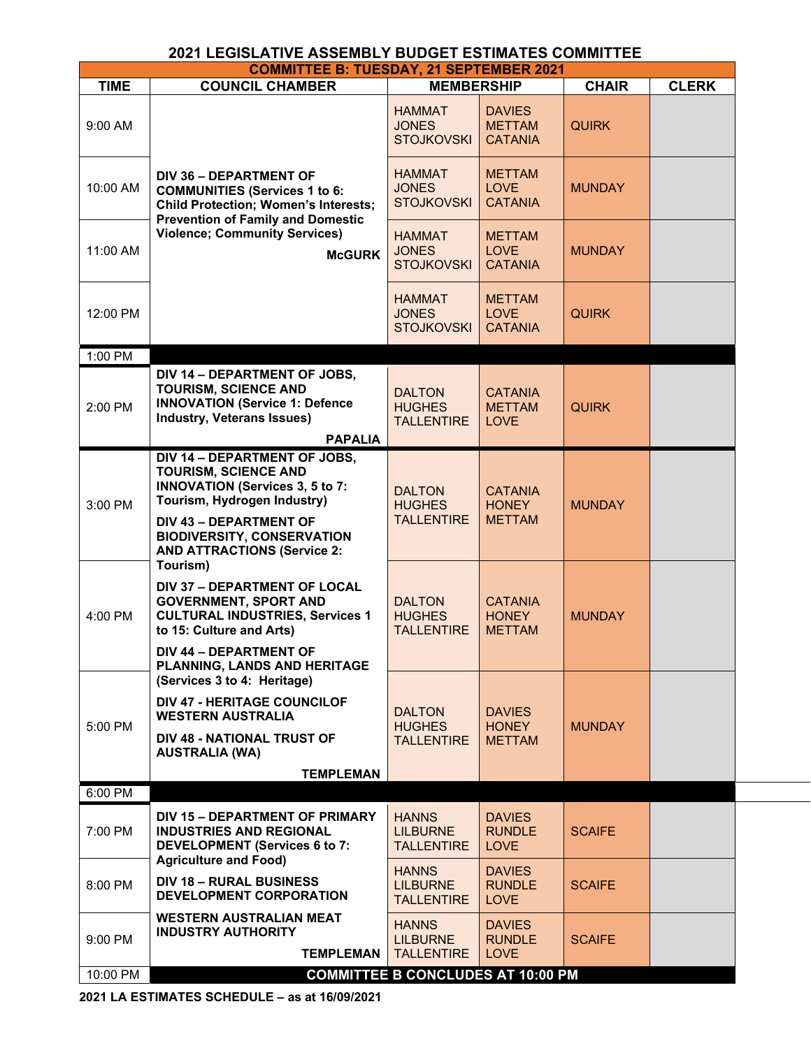| <b>COMMITTEE B: TUESDAY, 21 SEPTEMBER 2021</b> |                                                                                                                                                                                                                           |                                                      |                                                  |               |              |  |
|------------------------------------------------|---------------------------------------------------------------------------------------------------------------------------------------------------------------------------------------------------------------------------|------------------------------------------------------|--------------------------------------------------|---------------|--------------|--|
| <b>TIME</b>                                    | <b>COUNCIL CHAMBER</b>                                                                                                                                                                                                    | <b>MEMBERSHIP</b>                                    |                                                  | <b>CHAIR</b>  | <b>CLERK</b> |  |
| 9:00 AM                                        |                                                                                                                                                                                                                           | <b>HAMMAT</b><br><b>JONES</b><br><b>STOJKOVSKI</b>   | <b>DAVIES</b><br><b>METTAM</b><br><b>CATANIA</b> | <b>QUIRK</b>  |              |  |
| 10:00 AM                                       | <b>DIV 36 - DEPARTMENT OF</b><br><b>COMMUNITIES (Services 1 to 6:</b><br><b>Child Protection; Women's Interests;</b><br><b>Prevention of Family and Domestic</b><br><b>Violence; Community Services)</b><br><b>McGURK</b> | <b>HAMMAT</b><br><b>JONES</b><br><b>STOJKOVSKI</b>   | <b>METTAM</b><br><b>LOVE</b><br><b>CATANIA</b>   | <b>MUNDAY</b> |              |  |
| 11:00 AM                                       |                                                                                                                                                                                                                           | <b>HAMMAT</b><br><b>JONES</b><br><b>STOJKOVSKI</b>   | <b>METTAM</b><br><b>LOVE</b><br><b>CATANIA</b>   | <b>MUNDAY</b> |              |  |
| 12:00 PM                                       |                                                                                                                                                                                                                           | <b>HAMMAT</b><br><b>JONES</b><br><b>STOJKOVSKI</b>   | <b>METTAM</b><br><b>LOVE</b><br><b>CATANIA</b>   | <b>QUIRK</b>  |              |  |
| 1:00 PM                                        |                                                                                                                                                                                                                           |                                                      |                                                  |               |              |  |
| 2:00 PM                                        | DIV 14 - DEPARTMENT OF JOBS,<br><b>TOURISM, SCIENCE AND</b><br><b>INNOVATION (Service 1: Defence</b><br><b>Industry, Veterans Issues)</b><br><b>PAPALIA</b>                                                               | <b>DALTON</b><br><b>HUGHES</b><br><b>TALLENTIRE</b>  | <b>CATANIA</b><br><b>METTAM</b><br><b>LOVE</b>   | <b>QUIRK</b>  |              |  |
| 3:00 PM                                        | DIV 14 - DEPARTMENT OF JOBS,<br><b>TOURISM, SCIENCE AND</b><br><b>INNOVATION (Services 3, 5 to 7:</b><br>Tourism, Hydrogen Industry)                                                                                      | <b>DALTON</b><br><b>HUGHES</b><br><b>TALLENTIRE</b>  | <b>CATANIA</b><br><b>HONEY</b><br><b>METTAM</b>  | <b>MUNDAY</b> |              |  |
|                                                | <b>DIV 43 - DEPARTMENT OF</b><br><b>BIODIVERSITY, CONSERVATION</b><br><b>AND ATTRACTIONS (Service 2:</b><br>Tourism)                                                                                                      |                                                      |                                                  |               |              |  |
| 4:00 PM                                        | <b>DIV 37 - DEPARTMENT OF LOCAL</b><br><b>GOVERNMENT, SPORT AND</b><br><b>CULTURAL INDUSTRIES, Services 1</b><br>to 15: Culture and Arts)                                                                                 | <b>DALTON</b><br><b>HUGHES</b><br><b>TALLENTIRE</b>  | <b>CATANIA</b><br><b>HONEY</b><br><b>METTAM</b>  | <b>MUNDAY</b> |              |  |
|                                                | <b>DIV 44 - DEPARTMENT OF</b><br>PLANNING, LANDS AND HERITAGE<br>(Services 3 to 4: Heritage)                                                                                                                              |                                                      |                                                  |               |              |  |
| 5:00 PM                                        | <b>DIV 47 - HERITAGE COUNCILOF</b><br><b>WESTERN AUSTRALIA</b>                                                                                                                                                            | <b>DALTON</b><br><b>HUGHES</b><br><b>TALLENTIRE</b>  | <b>DAVIES</b><br><b>HONEY</b><br><b>METTAM</b>   | <b>MUNDAY</b> |              |  |
|                                                | <b>DIV 48 - NATIONAL TRUST OF</b><br><b>AUSTRALIA (WA)</b><br><b>TEMPLEMAN</b>                                                                                                                                            |                                                      |                                                  |               |              |  |
| 6:00 PM                                        |                                                                                                                                                                                                                           |                                                      |                                                  |               |              |  |
| 7:00 PM                                        | DIV 15 - DEPARTMENT OF PRIMARY<br><b>INDUSTRIES AND REGIONAL</b><br><b>DEVELOPMENT (Services 6 to 7:</b><br><b>Agriculture and Food)</b>                                                                                  | <b>HANNS</b><br><b>LILBURNE</b><br><b>TALLENTIRE</b> | <b>DAVIES</b><br><b>RUNDLE</b><br><b>LOVE</b>    | <b>SCAIFE</b> |              |  |
| 8:00 PM                                        | <b>DIV 18 - RURAL BUSINESS</b><br>DEVELOPMENT CORPORATION                                                                                                                                                                 | <b>HANNS</b><br><b>LILBURNE</b><br><b>TALLENTIRE</b> | <b>DAVIES</b><br><b>RUNDLE</b><br><b>LOVE</b>    | <b>SCAIFE</b> |              |  |
| 9:00 PM                                        | <b>WESTERN AUSTRALIAN MEAT</b><br><b>INDUSTRY AUTHORITY</b><br><b>TEMPLEMAN</b>                                                                                                                                           | <b>HANNS</b><br><b>LILBURNE</b><br><b>TALLENTIRE</b> | <b>DAVIES</b><br><b>RUNDLE</b><br><b>LOVE</b>    | <b>SCAIFE</b> |              |  |
| 10:00 PM                                       |                                                                                                                                                                                                                           | <b>COMMITTEE B CONCLUDES AT 10:00 PM</b>             |                                                  |               |              |  |

**2021 LA ESTIMATES SCHEDULE – as at 16/09/2021**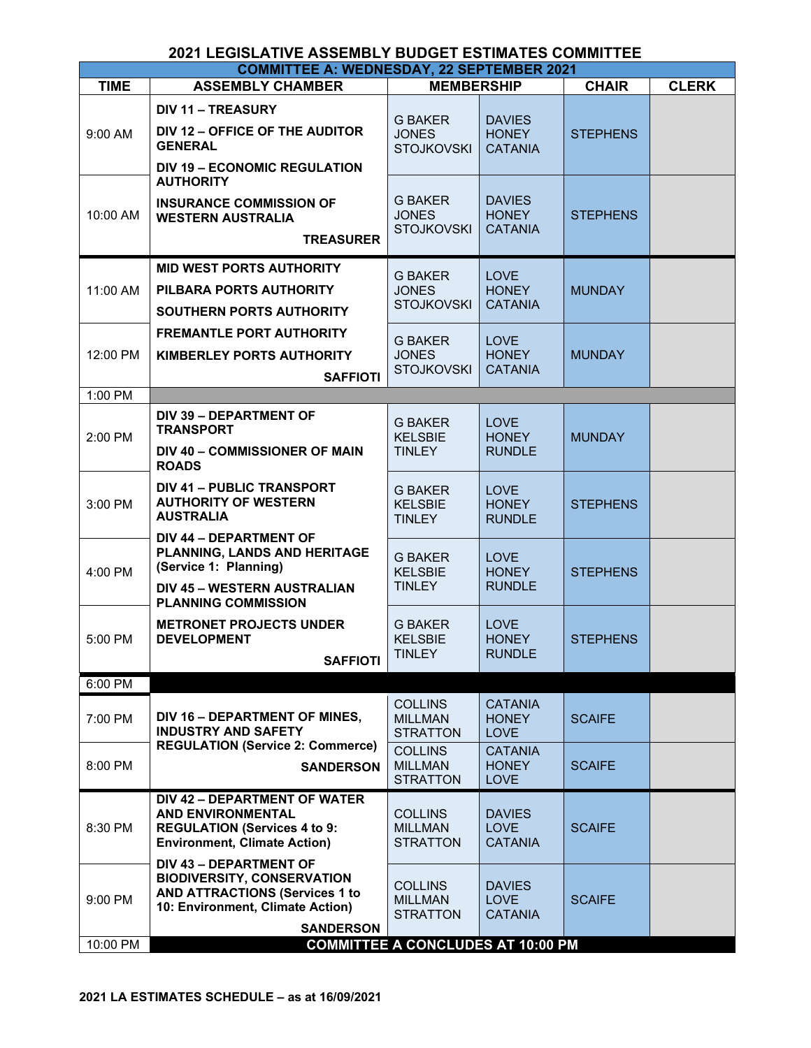| <b>COMMITTEE A: WEDNESDAY, 22 SEPTEMBER 2021</b> |                                                                                                                                                                     |                                                     |                                                 |                 |              |  |
|--------------------------------------------------|---------------------------------------------------------------------------------------------------------------------------------------------------------------------|-----------------------------------------------------|-------------------------------------------------|-----------------|--------------|--|
| <b>TIME</b>                                      | <b>ASSEMBLY CHAMBER</b>                                                                                                                                             | <b>MEMBERSHIP</b>                                   |                                                 | <b>CHAIR</b>    | <b>CLERK</b> |  |
| 9:00 AM                                          | <b>DIV 11 - TREASURY</b><br>DIV 12 - OFFICE OF THE AUDITOR<br><b>GENERAL</b><br><b>DIV 19 - ECONOMIC REGULATION</b>                                                 | <b>G BAKER</b><br><b>JONES</b><br><b>STOJKOVSKI</b> | <b>DAVIES</b><br><b>HONEY</b><br><b>CATANIA</b> | <b>STEPHENS</b> |              |  |
| 10:00 AM                                         | <b>AUTHORITY</b><br><b>INSURANCE COMMISSION OF</b><br><b>WESTERN AUSTRALIA</b><br><b>TREASURER</b>                                                                  | <b>G BAKER</b><br><b>JONES</b><br><b>STOJKOVSKI</b> | <b>DAVIES</b><br><b>HONEY</b><br><b>CATANIA</b> | <b>STEPHENS</b> |              |  |
| 11:00 AM                                         | <b>MID WEST PORTS AUTHORITY</b><br>PILBARA PORTS AUTHORITY<br><b>SOUTHERN PORTS AUTHORITY</b>                                                                       | <b>G BAKER</b><br><b>JONES</b><br><b>STOJKOVSKI</b> | <b>LOVE</b><br><b>HONEY</b><br><b>CATANIA</b>   | <b>MUNDAY</b>   |              |  |
| 12:00 PM                                         | <b>FREMANTLE PORT AUTHORITY</b><br>KIMBERLEY PORTS AUTHORITY<br><b>SAFFIOTI</b>                                                                                     | <b>G BAKER</b><br><b>JONES</b><br><b>STOJKOVSKI</b> | <b>LOVE</b><br><b>HONEY</b><br><b>CATANIA</b>   | <b>MUNDAY</b>   |              |  |
| 1:00 PM                                          |                                                                                                                                                                     |                                                     |                                                 |                 |              |  |
| 2:00 PM                                          | <b>DIV 39 - DEPARTMENT OF</b><br><b>TRANSPORT</b><br><b>DIV 40 - COMMISSIONER OF MAIN</b><br><b>ROADS</b>                                                           | <b>G BAKER</b><br><b>KELSBIE</b><br><b>TINLEY</b>   | <b>LOVE</b><br><b>HONEY</b><br><b>RUNDLE</b>    | <b>MUNDAY</b>   |              |  |
| $3:00$ PM                                        | <b>DIV 41 - PUBLIC TRANSPORT</b><br><b>AUTHORITY OF WESTERN</b><br><b>AUSTRALIA</b>                                                                                 | <b>G BAKER</b><br><b>KELSBIE</b><br><b>TINLEY</b>   | <b>LOVE</b><br><b>HONEY</b><br><b>RUNDLE</b>    | <b>STEPHENS</b> |              |  |
| 4:00 PM                                          | <b>DIV 44 - DEPARTMENT OF</b><br>PLANNING, LANDS AND HERITAGE<br>(Service 1: Planning)<br><b>DIV 45 - WESTERN AUSTRALIAN</b>                                        | <b>G BAKER</b><br><b>KELSBIE</b><br><b>TINLEY</b>   | <b>LOVE</b><br><b>HONEY</b><br><b>RUNDLE</b>    | <b>STEPHENS</b> |              |  |
| 5:00 PM                                          | <b>PLANNING COMMISSION</b><br><b>METRONET PROJECTS UNDER</b><br><b>DEVELOPMENT</b><br><b>SAFFIOTI</b>                                                               | <b>G BAKER</b><br><b>KELSBIE</b><br>TINLEY          | <b>LOVE</b><br><b>HONEY</b><br><b>RUNDLE</b>    | <b>STEPHENS</b> |              |  |
| 6:00 PM                                          |                                                                                                                                                                     |                                                     |                                                 |                 |              |  |
| 7:00 PM                                          | DIV 16 - DEPARTMENT OF MINES,<br><b>INDUSTRY AND SAFETY</b>                                                                                                         | <b>COLLINS</b><br><b>MILLMAN</b><br><b>STRATTON</b> | <b>CATANIA</b><br><b>HONEY</b><br><b>LOVE</b>   | <b>SCAIFE</b>   |              |  |
| 8:00 PM                                          | <b>REGULATION (Service 2: Commerce)</b><br><b>SANDERSON</b>                                                                                                         | <b>COLLINS</b><br><b>MILLMAN</b><br><b>STRATTON</b> | <b>CATANIA</b><br><b>HONEY</b><br><b>LOVE</b>   | <b>SCAIFE</b>   |              |  |
| 8:30 PM                                          | <b>DIV 42 - DEPARTMENT OF WATER</b><br><b>AND ENVIRONMENTAL</b><br><b>REGULATION (Services 4 to 9:</b><br><b>Environment, Climate Action)</b>                       | <b>COLLINS</b><br><b>MILLMAN</b><br><b>STRATTON</b> | <b>DAVIES</b><br><b>LOVE</b><br><b>CATANIA</b>  | <b>SCAIFE</b>   |              |  |
| 9:00 PM                                          | <b>DIV 43 - DEPARTMENT OF</b><br><b>BIODIVERSITY, CONSERVATION</b><br><b>AND ATTRACTIONS (Services 1 to</b><br>10: Environment, Climate Action)<br><b>SANDERSON</b> | <b>COLLINS</b><br><b>MILLMAN</b><br><b>STRATTON</b> | <b>DAVIES</b><br><b>LOVE</b><br><b>CATANIA</b>  | <b>SCAIFE</b>   |              |  |
| 10:00 PM                                         |                                                                                                                                                                     | <b>COMMITTEE A CONCLUDES AT 10:00 PM</b>            |                                                 |                 |              |  |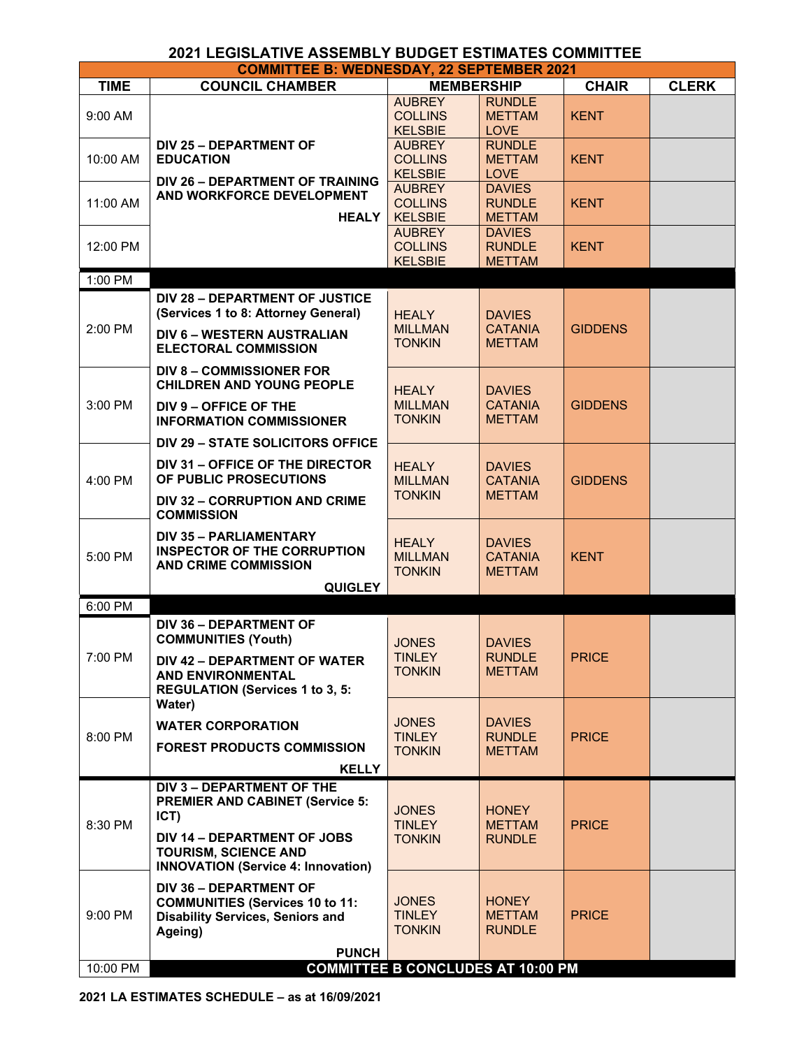| <b>COMMITTEE B: WEDNESDAY, 22 SEPTEMBER 2021</b> |                                                                                                                                                                                        |                                                   |                                                  |                |              |  |
|--------------------------------------------------|----------------------------------------------------------------------------------------------------------------------------------------------------------------------------------------|---------------------------------------------------|--------------------------------------------------|----------------|--------------|--|
| <b>TIME</b>                                      | <b>COUNCIL CHAMBER</b>                                                                                                                                                                 | <b>MEMBERSHIP</b>                                 |                                                  | <b>CHAIR</b>   | <b>CLERK</b> |  |
| 9:00 AM                                          |                                                                                                                                                                                        | <b>AUBREY</b><br><b>COLLINS</b><br><b>KELSBIE</b> | <b>RUNDLE</b><br><b>METTAM</b><br><b>LOVE</b>    | <b>KENT</b>    |              |  |
| 10:00 AM                                         | <b>DIV 25 - DEPARTMENT OF</b><br><b>EDUCATION</b><br><b>DIV 26 - DEPARTMENT OF TRAINING</b>                                                                                            | <b>AUBREY</b><br><b>COLLINS</b><br><b>KELSBIE</b> | <b>RUNDLE</b><br><b>METTAM</b><br><b>LOVE</b>    | <b>KENT</b>    |              |  |
| 11:00 AM                                         | AND WORKFORCE DEVELOPMENT<br><b>HEALY</b>                                                                                                                                              | <b>AUBREY</b><br><b>COLLINS</b><br><b>KELSBIE</b> | <b>DAVIES</b><br><b>RUNDLE</b><br><b>METTAM</b>  | <b>KENT</b>    |              |  |
| 12:00 PM                                         |                                                                                                                                                                                        | <b>AUBREY</b><br><b>COLLINS</b><br><b>KELSBIE</b> | <b>DAVIES</b><br><b>RUNDLE</b><br><b>METTAM</b>  | <b>KENT</b>    |              |  |
| 1:00 PM                                          |                                                                                                                                                                                        |                                                   |                                                  |                |              |  |
| 2:00 PM                                          | <b>DIV 28 - DEPARTMENT OF JUSTICE</b><br>(Services 1 to 8: Attorney General)<br><b>DIV 6 - WESTERN AUSTRALIAN</b><br><b>ELECTORAL COMMISSION</b>                                       | <b>HEALY</b><br><b>MILLMAN</b><br><b>TONKIN</b>   | <b>DAVIES</b><br><b>CATANIA</b><br><b>METTAM</b> | <b>GIDDENS</b> |              |  |
| 3:00 PM                                          | <b>DIV 8 - COMMISSIONER FOR</b><br><b>CHILDREN AND YOUNG PEOPLE</b><br>DIV 9 - OFFICE OF THE<br><b>INFORMATION COMMISSIONER</b>                                                        | <b>HEALY</b><br><b>MILLMAN</b><br><b>TONKIN</b>   | <b>DAVIES</b><br><b>CATANIA</b><br><b>METTAM</b> | <b>GIDDENS</b> |              |  |
|                                                  | <b>DIV 29 - STATE SOLICITORS OFFICE</b>                                                                                                                                                |                                                   |                                                  |                |              |  |
| 4:00 PM                                          | DIV 31 - OFFICE OF THE DIRECTOR<br>OF PUBLIC PROSECUTIONS                                                                                                                              | <b>HEALY</b><br><b>MILLMAN</b>                    | <b>DAVIES</b><br><b>CATANIA</b>                  | <b>GIDDENS</b> |              |  |
|                                                  | DIV 32 - CORRUPTION AND CRIME<br><b>COMMISSION</b>                                                                                                                                     | <b>TONKIN</b>                                     | <b>METTAM</b>                                    |                |              |  |
| 5:00 PM                                          | <b>DIV 35 - PARLIAMENTARY</b><br><b>INSPECTOR OF THE CORRUPTION</b><br><b>AND CRIME COMMISSION</b><br><b>QUIGLEY</b>                                                                   | <b>HEALY</b><br><b>MILLMAN</b><br><b>TONKIN</b>   | <b>DAVIES</b><br><b>CATANIA</b><br><b>METTAM</b> | <b>KENT</b>    |              |  |
| 6:00 PM                                          |                                                                                                                                                                                        |                                                   |                                                  |                |              |  |
| 7:00 PM                                          | <b>DIV 36 - DEPARTMENT OF</b><br><b>COMMUNITIES (Youth)</b><br>DIV 42 - DEPARTMENT OF WATER<br><b>AND ENVIRONMENTAL</b>                                                                | <b>JONES</b><br><b>TINLEY</b><br><b>TONKIN</b>    | <b>DAVIES</b><br><b>RUNDLE</b><br><b>METTAM</b>  | <b>PRICE</b>   |              |  |
|                                                  | <b>REGULATION (Services 1 to 3, 5:</b>                                                                                                                                                 |                                                   |                                                  |                |              |  |
| 8:00 PM                                          | Water)<br><b>WATER CORPORATION</b><br><b>FOREST PRODUCTS COMMISSION</b><br><b>KELLY</b>                                                                                                | <b>JONES</b><br><b>TINLEY</b><br><b>TONKIN</b>    | <b>DAVIES</b><br><b>RUNDLE</b><br><b>METTAM</b>  | <b>PRICE</b>   |              |  |
| 8:30 PM                                          | DIV 3 - DEPARTMENT OF THE<br><b>PREMIER AND CABINET (Service 5:</b><br>ICT)<br>DIV 14 - DEPARTMENT OF JOBS<br><b>TOURISM, SCIENCE AND</b><br><b>INNOVATION (Service 4: Innovation)</b> | <b>JONES</b><br><b>TINLEY</b><br><b>TONKIN</b>    | <b>HONEY</b><br><b>METTAM</b><br><b>RUNDLE</b>   | <b>PRICE</b>   |              |  |
| 9:00 PM                                          | <b>DIV 36 - DEPARTMENT OF</b><br><b>COMMUNITIES (Services 10 to 11:</b><br><b>Disability Services, Seniors and</b><br>Ageing)<br><b>PUNCH</b>                                          | <b>JONES</b><br><b>TINLEY</b><br><b>TONKIN</b>    | <b>HONEY</b><br><b>METTAM</b><br><b>RUNDLE</b>   | <b>PRICE</b>   |              |  |
| 10:00 PM                                         |                                                                                                                                                                                        | <b>COMMITTEE B CONCLUDES AT 10:00 PM</b>          |                                                  |                |              |  |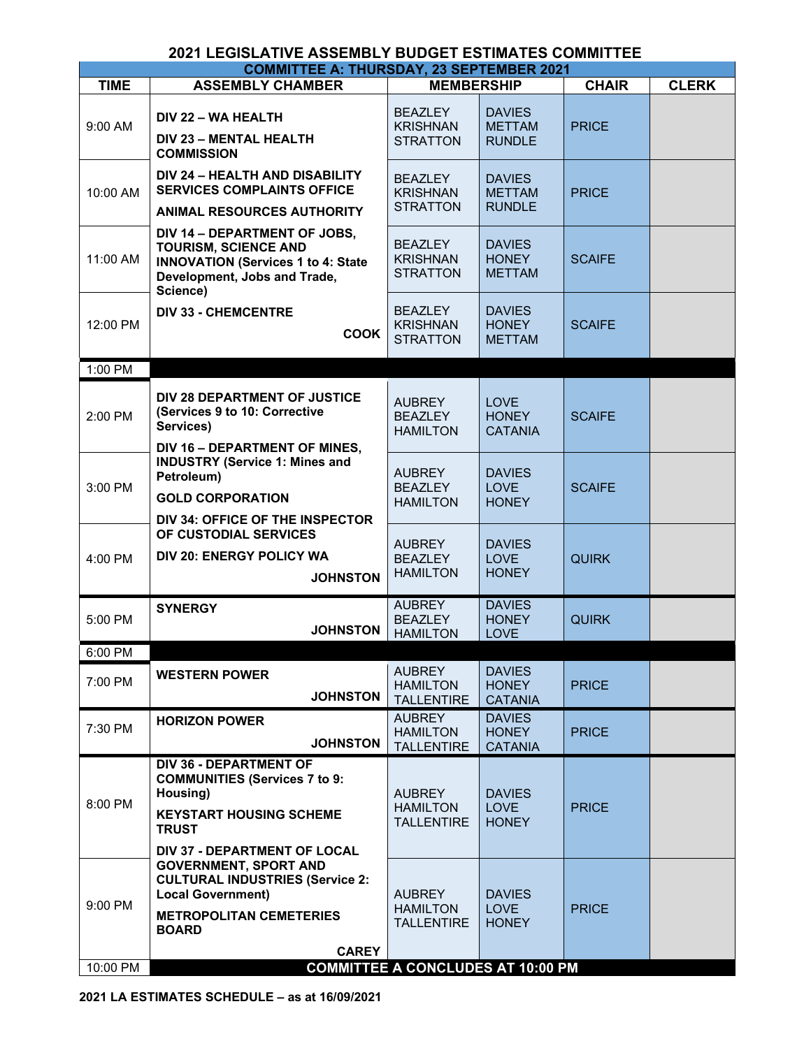| <b>COMMITTEE A: THURSDAY, 23 SEPTEMBER 2021</b> |                                                                                                                                                                                                             |                                                       |                                                 |               |              |  |
|-------------------------------------------------|-------------------------------------------------------------------------------------------------------------------------------------------------------------------------------------------------------------|-------------------------------------------------------|-------------------------------------------------|---------------|--------------|--|
| <b>TIME</b>                                     | <b>ASSEMBLY CHAMBER</b>                                                                                                                                                                                     | <b>MEMBERSHIP</b>                                     |                                                 | <b>CHAIR</b>  | <b>CLERK</b> |  |
| 9:00 AM                                         | DIV 22 - WA HEALTH<br>DIV 23 - MENTAL HEALTH<br><b>COMMISSION</b>                                                                                                                                           | <b>BEAZLEY</b><br><b>KRISHNAN</b><br><b>STRATTON</b>  | <b>DAVIES</b><br><b>METTAM</b><br><b>RUNDLE</b> | <b>PRICE</b>  |              |  |
| 10:00 AM                                        | <b>DIV 24 - HEALTH AND DISABILITY</b><br><b>SERVICES COMPLAINTS OFFICE</b><br><b>ANIMAL RESOURCES AUTHORITY</b>                                                                                             | <b>BEAZLEY</b><br><b>KRISHNAN</b><br><b>STRATTON</b>  | <b>DAVIES</b><br><b>METTAM</b><br><b>RUNDLE</b> | <b>PRICE</b>  |              |  |
| 11:00 AM                                        | DIV 14 - DEPARTMENT OF JOBS,<br><b>TOURISM, SCIENCE AND</b><br><b>INNOVATION (Services 1 to 4: State</b><br>Development, Jobs and Trade,<br>Science)                                                        | <b>BEAZLEY</b><br><b>KRISHNAN</b><br><b>STRATTON</b>  | <b>DAVIES</b><br><b>HONEY</b><br><b>METTAM</b>  | <b>SCAIFE</b> |              |  |
| 12:00 PM                                        | <b>DIV 33 - CHEMCENTRE</b><br><b>COOK</b>                                                                                                                                                                   | <b>BEAZLEY</b><br><b>KRISHNAN</b><br><b>STRATTON</b>  | <b>DAVIES</b><br><b>HONEY</b><br><b>METTAM</b>  | <b>SCAIFE</b> |              |  |
| 1:00 PM                                         |                                                                                                                                                                                                             |                                                       |                                                 |               |              |  |
| 2:00 PM                                         | DIV 28 DEPARTMENT OF JUSTICE<br>(Services 9 to 10: Corrective<br>Services)<br>DIV 16 - DEPARTMENT OF MINES.                                                                                                 | <b>AUBREY</b><br><b>BEAZLEY</b><br><b>HAMILTON</b>    | <b>LOVE</b><br><b>HONEY</b><br><b>CATANIA</b>   | <b>SCAIFE</b> |              |  |
| 3:00 PM                                         | <b>INDUSTRY (Service 1: Mines and</b><br>Petroleum)<br><b>GOLD CORPORATION</b><br>DIV 34: OFFICE OF THE INSPECTOR                                                                                           | <b>AUBREY</b><br><b>BEAZLEY</b><br><b>HAMILTON</b>    | <b>DAVIES</b><br><b>LOVE</b><br><b>HONEY</b>    | <b>SCAIFE</b> |              |  |
| 4:00 PM                                         | OF CUSTODIAL SERVICES<br><b>DIV 20: ENERGY POLICY WA</b><br><b>JOHNSTON</b>                                                                                                                                 | <b>AUBREY</b><br><b>BEAZLEY</b><br><b>HAMILTON</b>    | <b>DAVIES</b><br><b>LOVE</b><br><b>HONEY</b>    | <b>QUIRK</b>  |              |  |
| 5:00 PM                                         | <b>SYNERGY</b><br><b>JOHNSTON</b>                                                                                                                                                                           | <b>AUBREY</b><br><b>BEAZLEY</b><br><b>HAMILTON</b>    | <b>DAVIES</b><br><b>HONEY</b><br><b>LOVE</b>    | <b>QUIRK</b>  |              |  |
| 6:00 PM                                         |                                                                                                                                                                                                             |                                                       |                                                 |               |              |  |
| 7:00 PM                                         | <b>WESTERN POWER</b><br><b>JOHNSTON</b>                                                                                                                                                                     | <b>AUBREY</b><br><b>HAMILTON</b><br><b>TALLENTIRE</b> | <b>DAVIES</b><br><b>HONEY</b><br><b>CATANIA</b> | <b>PRICE</b>  |              |  |
| 7:30 PM                                         | <b>HORIZON POWER</b><br><b>JOHNSTON</b>                                                                                                                                                                     | <b>AUBREY</b><br><b>HAMILTON</b><br><b>TALLENTIRE</b> | <b>DAVIES</b><br><b>HONEY</b><br><b>CATANIA</b> | <b>PRICE</b>  |              |  |
| 8:00 PM                                         | <b>DIV 36 - DEPARTMENT OF</b><br><b>COMMUNITIES (Services 7 to 9:</b><br>Housing)<br><b>KEYSTART HOUSING SCHEME</b><br><b>TRUST</b>                                                                         | <b>AUBREY</b><br><b>HAMILTON</b><br><b>TALLENTIRE</b> | <b>DAVIES</b><br><b>LOVE</b><br><b>HONEY</b>    | <b>PRICE</b>  |              |  |
| 9:00 PM                                         | <b>DIV 37 - DEPARTMENT OF LOCAL</b><br><b>GOVERNMENT, SPORT AND</b><br><b>CULTURAL INDUSTRIES (Service 2:</b><br><b>Local Government)</b><br><b>METROPOLITAN CEMETERIES</b><br><b>BOARD</b><br><b>CAREY</b> | <b>AUBREY</b><br><b>HAMILTON</b><br><b>TALLENTIRE</b> | <b>DAVIES</b><br><b>LOVE</b><br><b>HONEY</b>    | <b>PRICE</b>  |              |  |
| 10:00 PM                                        |                                                                                                                                                                                                             | <b>COMMITTEE A CONCLUDES AT 10:00 PM</b>              |                                                 |               |              |  |